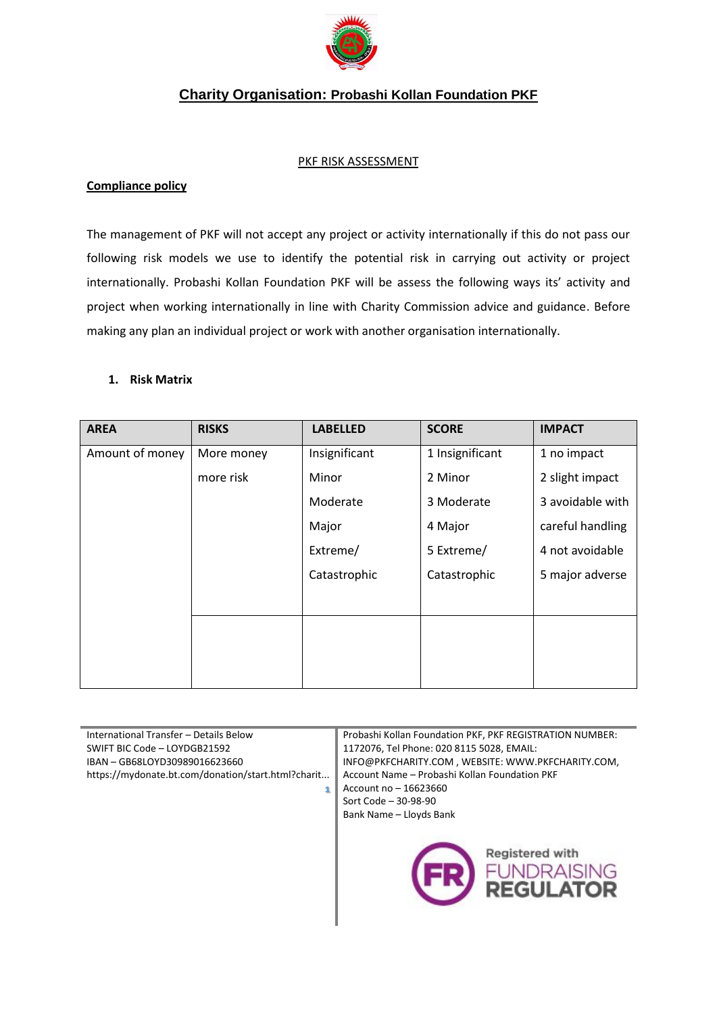

## **Charity Organisation: Probashi Kollan Foundation PKF**

#### PKF RISK ASSESSMENT

### **Compliance policy**

The management of PKF will not accept any project or activity internationally if this do not pass our following risk models we use to identify the potential risk in carrying out activity or project internationally. Probashi Kollan Foundation PKF will be assess the following ways its' activity and project when working internationally in line with Charity Commission advice and guidance. Before making any plan an individual project or work with another organisation internationally.

### **1. Risk Matrix**

| <b>AREA</b>     | <b>RISKS</b> | <b>LABELLED</b> | <b>SCORE</b>    | <b>IMPACT</b>    |
|-----------------|--------------|-----------------|-----------------|------------------|
| Amount of money | More money   | Insignificant   | 1 Insignificant | 1 no impact      |
|                 | more risk    | Minor           | 2 Minor         | 2 slight impact  |
|                 |              | Moderate        | 3 Moderate      | 3 avoidable with |
|                 |              | Major           | 4 Major         | careful handling |
|                 |              | Extreme/        | 5 Extreme/      | 4 not avoidable  |
|                 |              | Catastrophic    | Catastrophic    | 5 major adverse  |
|                 |              |                 |                 |                  |
|                 |              |                 |                 |                  |
|                 |              |                 |                 |                  |
|                 |              |                 |                 |                  |

| International Transfer - Details Below<br>SWIFT BIC Code - LOYDGB21592<br>IBAN - GB68LOYD30989016623660<br>https://mydonate.bt.com/donation/start.html?charit | Probashi Kollan Foundation PKF, PKF REGISTRATION NUMBER:<br>1172076, Tel Phone: 020 8115 5028, EMAIL:<br>INFO@PKFCHARITY.COM, WEBSITE: WWW.PKFCHARITY.COM,<br>Account Name - Probashi Kollan Foundation PKF<br>Account no - 16623660<br>Sort Code - 30-98-90<br>Bank Name - Lloyds Bank |  |
|---------------------------------------------------------------------------------------------------------------------------------------------------------------|-----------------------------------------------------------------------------------------------------------------------------------------------------------------------------------------------------------------------------------------------------------------------------------------|--|
|                                                                                                                                                               | Registered with<br><b>JNDRAISING</b><br><b>PFGULATOR</b>                                                                                                                                                                                                                                |  |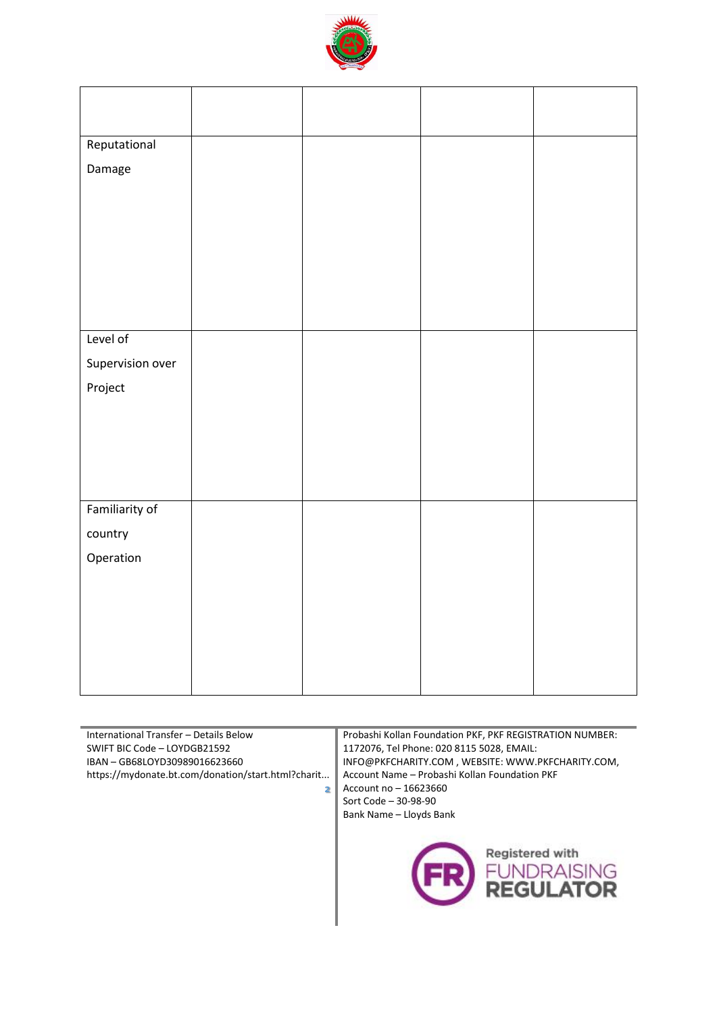

| Reputational     |  |  |
|------------------|--|--|
| Damage           |  |  |
|                  |  |  |
|                  |  |  |
|                  |  |  |
|                  |  |  |
|                  |  |  |
|                  |  |  |
| Level of         |  |  |
| Supervision over |  |  |
| Project          |  |  |
|                  |  |  |
|                  |  |  |
|                  |  |  |
|                  |  |  |
| Familiarity of   |  |  |
| country          |  |  |
| Operation        |  |  |
|                  |  |  |
|                  |  |  |
|                  |  |  |
|                  |  |  |
|                  |  |  |
|                  |  |  |

| International Transfer - Details Below<br>SWIFT BIC Code - LOYDGB21592<br>IBAN - GB68LOYD30989016623660<br>https://mydonate.bt.com/donation/start.html?charit | Probashi Kollan Foundation PKF, PKF REGISTRATION NUMBER:<br>1172076, Tel Phone: 020 8115 5028, EMAIL:<br>INFO@PKFCHARITY.COM, WEBSITE: WWW.PKFCHARITY.COM,<br>Account Name - Probashi Kollan Foundation PKF<br>Account no - 16623660<br>Sort Code - 30-98-90<br>Bank Name - Lloyds Bank |  |
|---------------------------------------------------------------------------------------------------------------------------------------------------------------|-----------------------------------------------------------------------------------------------------------------------------------------------------------------------------------------------------------------------------------------------------------------------------------------|--|
|                                                                                                                                                               | Registered with<br><b>DRAISING</b><br><b>REGULATOR</b>                                                                                                                                                                                                                                  |  |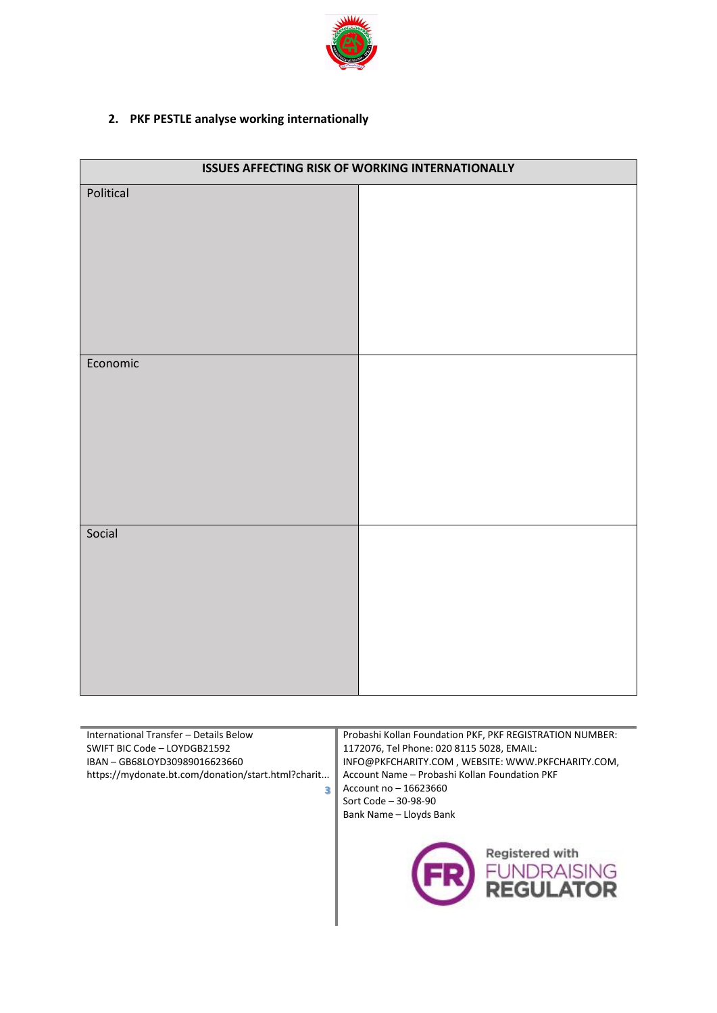

# **2. PKF PESTLE analyse working internationally**

| <b>ISSUES AFFECTING RISK OF WORKING INTERNATIONALLY</b> |  |  |
|---------------------------------------------------------|--|--|
| Political                                               |  |  |
| Economic                                                |  |  |
| Social                                                  |  |  |

| International Transfer - Details Below             | Probashi Kollan Foundation PKF, PKF REGISTRATION NUMBER: |  |
|----------------------------------------------------|----------------------------------------------------------|--|
| SWIFT BIC Code - LOYDGB21592                       | 1172076, Tel Phone: 020 8115 5028, EMAIL:                |  |
| IBAN - GB68LOYD30989016623660                      | INFO@PKFCHARITY.COM, WEBSITE: WWW.PKFCHARITY.COM,        |  |
| https://mydonate.bt.com/donation/start.html?charit | Account Name - Probashi Kollan Foundation PKF            |  |
| з                                                  | Account no - 16623660                                    |  |
|                                                    | Sort Code - 30-98-90                                     |  |
|                                                    | Bank Name - Lloyds Bank                                  |  |
|                                                    | Registered with<br>UNDRAISING<br><b>REGULATOR</b>        |  |

٠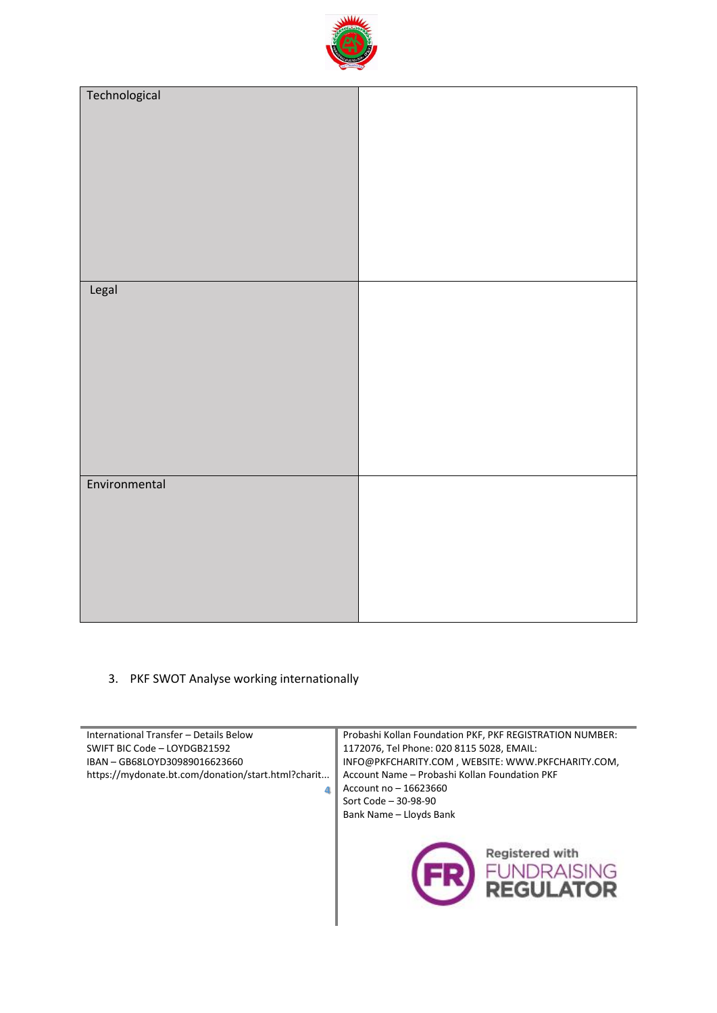

| Technological |  |
|---------------|--|
|               |  |
| Legal         |  |
|               |  |
|               |  |
| Environmental |  |
|               |  |

### 3. PKF SWOT Analyse working internationally

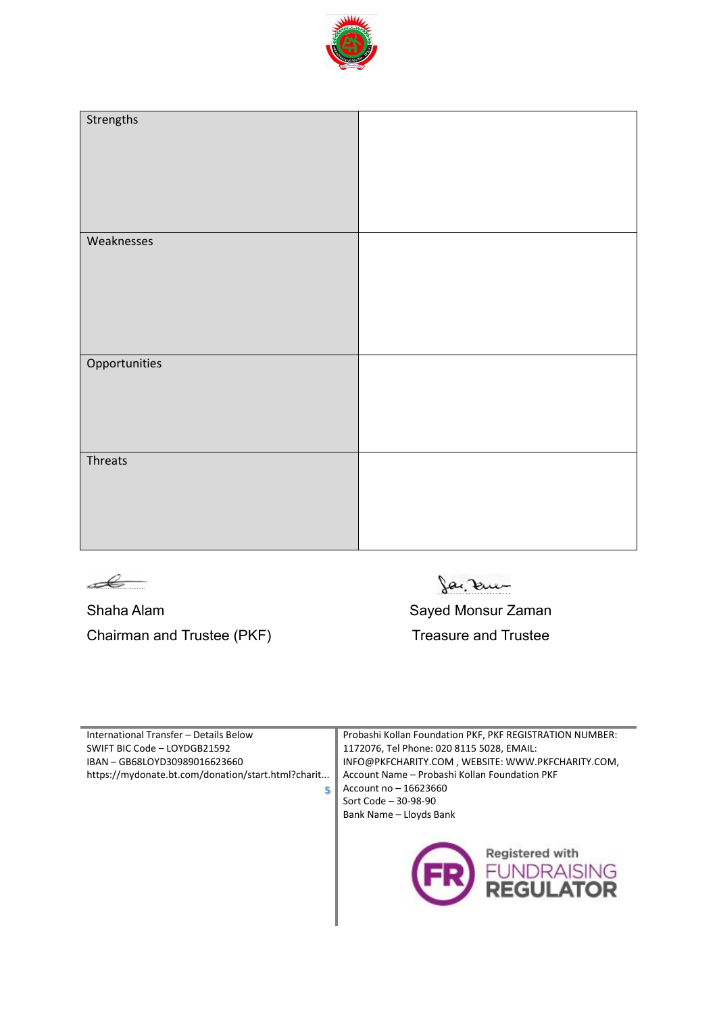

| Strengths     |  |
|---------------|--|
| Weaknesses    |  |
| Opportunities |  |
| Threats       |  |



Shaha Alam Shaha Alam Shaha Alam Shaha Alam Sayed Monsur Zaman Chairman and Trustee (PKF) Treasure and Trustee

Ja, ku

| International Transfer - Details Below             | Probashi Kollan Foundation PKF, PKF REGISTRATION NUMBER: |  |
|----------------------------------------------------|----------------------------------------------------------|--|
| SWIFT BIC Code - LOYDGB21592                       | 1172076, Tel Phone: 020 8115 5028, EMAIL:                |  |
| IBAN - GB68LOYD30989016623660                      | INFO@PKFCHARITY.COM, WEBSITE: WWW.PKFCHARITY.COM,        |  |
| https://mydonate.bt.com/donation/start.html?charit | Account Name - Probashi Kollan Foundation PKF            |  |
| 5                                                  | Account no - 16623660                                    |  |
|                                                    | Sort Code - 30-98-90                                     |  |
|                                                    | Bank Name - Lloyds Bank                                  |  |
|                                                    | Registered with<br><b>JNDRAISING</b><br><b>REGULATOR</b> |  |